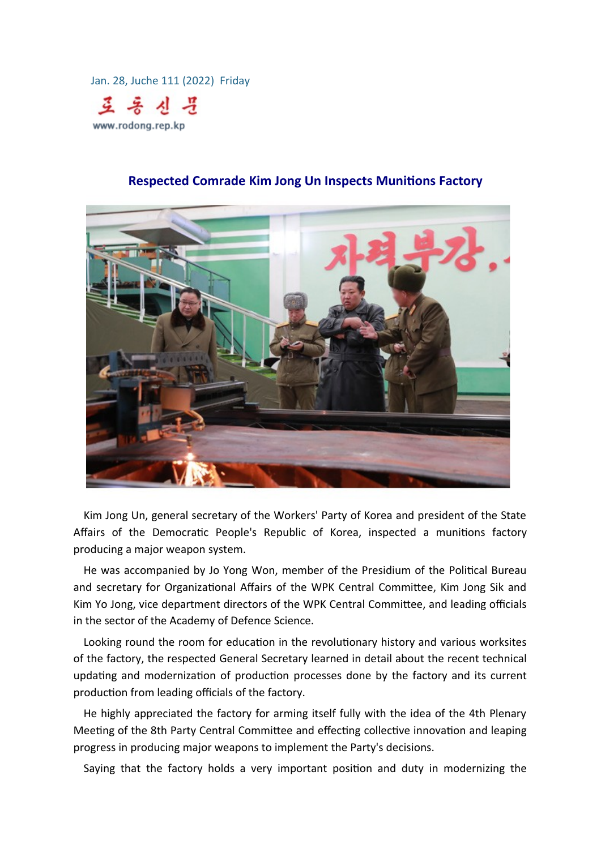Jan. 28, Juche 111 (2022) Friday



## **Respected Comrade Kim Jong Un Inspects Munitions Factory**

Kim Jong Un, general secretary of the Workers' Party of Korea and president of the State Affairs of the Democratic People's Republic of Korea, inspected a munitions factory producing a major weapon system.

He was accompanied by Jo Yong Won, member of the Presidium of the Political Bureau and secretary for Organizational Affairs of the WPK Central Committee, Kim Jong Sik and Kim Yo Jong, vice department directors of the WPK Central Committee, and leading officials in the sector of the Academy of Defence Science.

Looking round the room for education in the revolutionary history and various worksites of the factory, the respected General Secretary learned in detail about the recent technical updating and modernization of production processes done by the factory and its current production from leading officials of the factory.

He highly appreciated the factory for arming itself fully with the idea of the 4th Plenary Meeting of the 8th Party Central Committee and effecting collective innovation and leaping progress in producing major weapons to implement the Party's decisions.

Saying that the factory holds a very important position and duty in modernizing the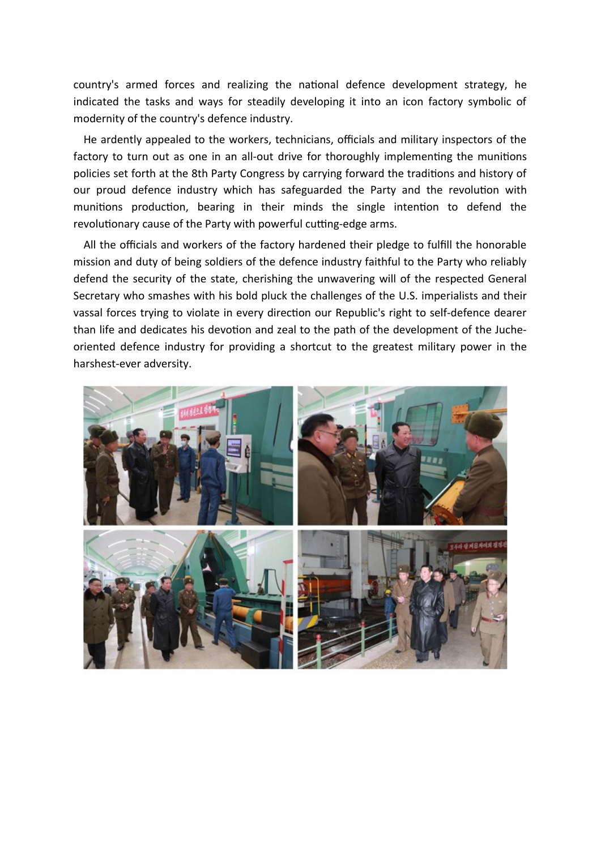country's armed forces and realizing the national defence development strategy, he indicated the tasks and ways for steadily developing it into an icon factory symbolic of modernity of the country's defence industry.

He ardently appealed to the workers, technicians, officials and military inspectors of the factory to turn out as one in an all-out drive for thoroughly implementing the munitions policies set forth at the 8th Party Congress by carrying forward the traditions and history of our proud defence industry which has safeguarded the Party and the revolution with munitions production, bearing in their minds the single intention to defend the revolutionary cause of the Party with powerful cutting-edge arms.

All the officials and workers of the factory hardened their pledge to fulfill the honorable mission and duty of being soldiers of the defence industry faithful to the Party who reliably defend the security of the state, cherishing the unwavering will of the respected General Secretary who smashes with his bold pluck the challenges of the U.S. imperialists and their vassal forces trying to violate in every direction our Republic's right to self-defence dearer than life and dedicates his devotion and zeal to the path of the development of the Jucheoriented defence industry for providing a shortcut to the greatest military power in the harshest-ever adversity.

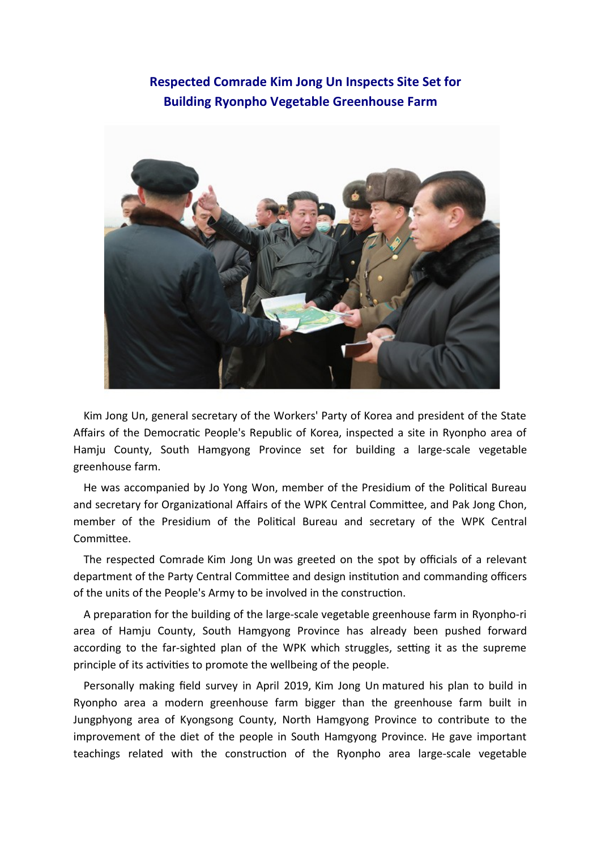## **Respected Comrade Kim Jong Un Inspects Site Set for Building Ryonpho Vegetable Greenhouse Farm**



Kim Jong Un, general secretary of the Workers' Party of Korea and president of the State Affairs of the Democratic People's Republic of Korea, inspected a site in Ryonpho area of Hamju County, South Hamgyong Province set for building a large-scale vegetable greenhouse farm.

He was accompanied by Jo Yong Won, member of the Presidium of the Political Bureau and secretary for Organizational Affairs of the WPK Central Committee, and Pak Jong Chon, member of the Presidium of the Political Bureau and secretary of the WPK Central Committee.

The respected Comrade Kim Jong Un was greeted on the spot by officials of a relevant department of the Party Central Committee and design institution and commanding officers of the units of the People's Army to be involved in the construction.

A preparation for the building of the large-scale vegetable greenhouse farm in Ryonpho-ri area of Hamju County, South Hamgyong Province has already been pushed forward according to the far-sighted plan of the WPK which struggles, setting it as the supreme principle of its activities to promote the wellbeing of the people.

Personally making field survey in April 2019, Kim Jong Un matured his plan to build in Ryonpho area a modern greenhouse farm bigger than the greenhouse farm built in Jungphyong area of Kyongsong County, North Hamgyong Province to contribute to the improvement of the diet of the people in South Hamgyong Province. He gave important teachings related with the construction of the Ryonpho area large-scale vegetable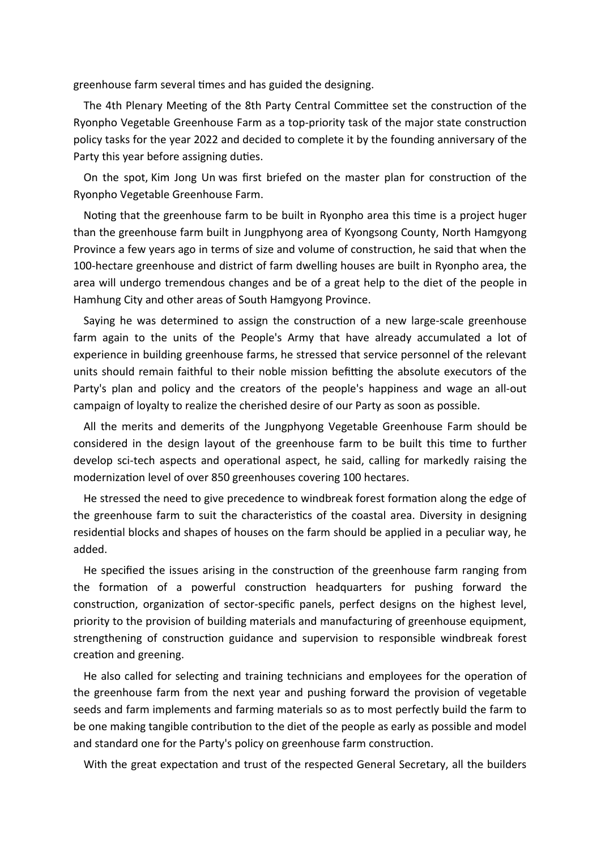greenhouse farm several times and has guided the designing.

The 4th Plenary Meeting of the 8th Party Central Committee set the construction of the Ryonpho Vegetable Greenhouse Farm as a top-priority task of the major state construction policy tasks for the year 2022 and decided to complete it by the founding anniversary of the Party this year before assigning duties.

On the spot, Kim Jong Un was first briefed on the master plan for construction of the Ryonpho Vegetable Greenhouse Farm.

Noting that the greenhouse farm to be built in Ryonpho area this time is a project huger than the greenhouse farm built in Jungphyong area of Kyongsong County, North Hamgyong Province a few years ago in terms of size and volume of construction, he said that when the 100-hectare greenhouse and district of farm dwelling houses are built in Ryonpho area, the area will undergo tremendous changes and be of a great help to the diet of the people in Hamhung City and other areas of South Hamgyong Province.

Saying he was determined to assign the construction of a new large-scale greenhouse farm again to the units of the People's Army that have already accumulated a lot of experience in building greenhouse farms, he stressed that service personnel of the relevant units should remain faithful to their noble mission befitting the absolute executors of the Party's plan and policy and the creators of the people's happiness and wage an all-out campaign of loyalty to realize the cherished desire of our Party as soon as possible.

All the merits and demerits of the Jungphyong Vegetable Greenhouse Farm should be considered in the design layout of the greenhouse farm to be built this time to further develop sci-tech aspects and operational aspect, he said, calling for markedly raising the modernization level of over 850 greenhouses covering 100 hectares.

He stressed the need to give precedence to windbreak forest formation along the edge of the greenhouse farm to suit the characteristics of the coastal area. Diversity in designing residential blocks and shapes of houses on the farm should be applied in a peculiar way, he added.

He specified the issues arising in the construction of the greenhouse farm ranging from the formation of a powerful construction headquarters for pushing forward the construction, organization of sector-specific panels, perfect designs on the highest level, priority to the provision of building materials and manufacturing of greenhouse equipment, strengthening of construction guidance and supervision to responsible windbreak forest creation and greening.

He also called for selecting and training technicians and employees for the operation of the greenhouse farm from the next year and pushing forward the provision of vegetable seeds and farm implements and farming materials so as to most perfectly build the farm to be one making tangible contribution to the diet of the people as early as possible and model and standard one for the Party's policy on greenhouse farm construction.

With the great expectation and trust of the respected General Secretary, all the builders